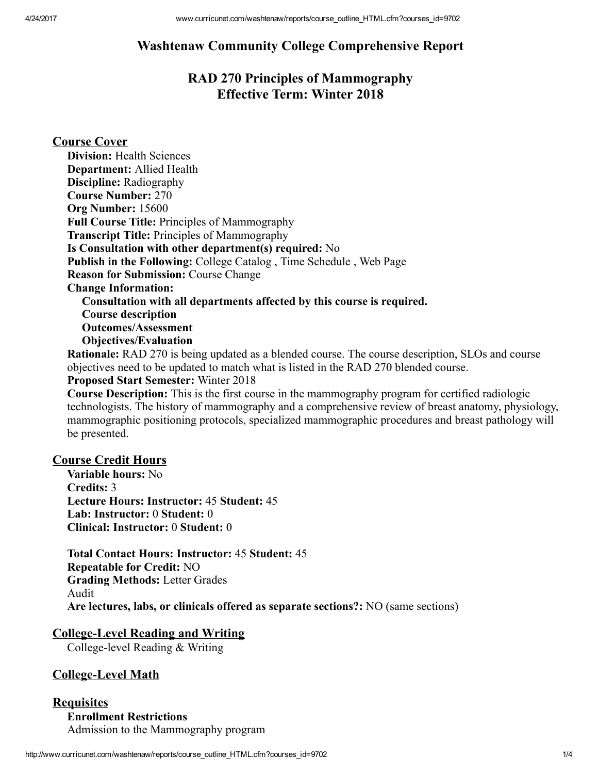# Washtenaw Community College Comprehensive Report

# RAD 270 Principles of Mammography Effective Term: Winter 2018

## Course Cover

| <b>Division: Health Sciences</b>                                          |
|---------------------------------------------------------------------------|
| <b>Department: Allied Health</b>                                          |
| <b>Discipline: Radiography</b>                                            |
| <b>Course Number: 270</b>                                                 |
| Org Number: 15600                                                         |
| Full Course Title: Principles of Mammography                              |
| <b>Transcript Title: Principles of Mammography</b>                        |
| Is Consultation with other department(s) required: No                     |
| <b>Publish in the Following:</b> College Catalog, Time Schedule, Web Page |
| <b>Reason for Submission: Course Change</b>                               |
| <b>Change Information:</b>                                                |
| Consultation with all departments affected by this course is required.    |
| <b>Course description</b>                                                 |
| <b>Outcomes/Assessment</b>                                                |
| <b>Objectives/Evaluation</b>                                              |
|                                                                           |

Rationale: RAD 270 is being updated as a blended course. The course description, SLOs and course objectives need to be updated to match what is listed in the RAD 270 blended course.

## Proposed Start Semester: Winter 2018

Course Description: This is the first course in the mammography program for certified radiologic technologists. The history of mammography and a comprehensive review of breast anatomy, physiology, mammographic positioning protocols, specialized mammographic procedures and breast pathology will be presented.

### Course Credit Hours

Variable hours: No Credits: 3 Lecture Hours: Instructor: 45 Student: 45 Lab: Instructor: 0 Student: 0 Clinical: Instructor: 0 Student: 0

Total Contact Hours: Instructor: 45 Student: 45 Repeatable for Credit: NO Grading Methods: Letter Grades Audit Are lectures, labs, or clinicals offered as separate sections?: NO (same sections)

#### **College-Level Reading and Writing**

College-level Reading  $&$  Writing

### College-Level Math

#### **Requisites** Enrollment Restrictions Admission to the Mammography program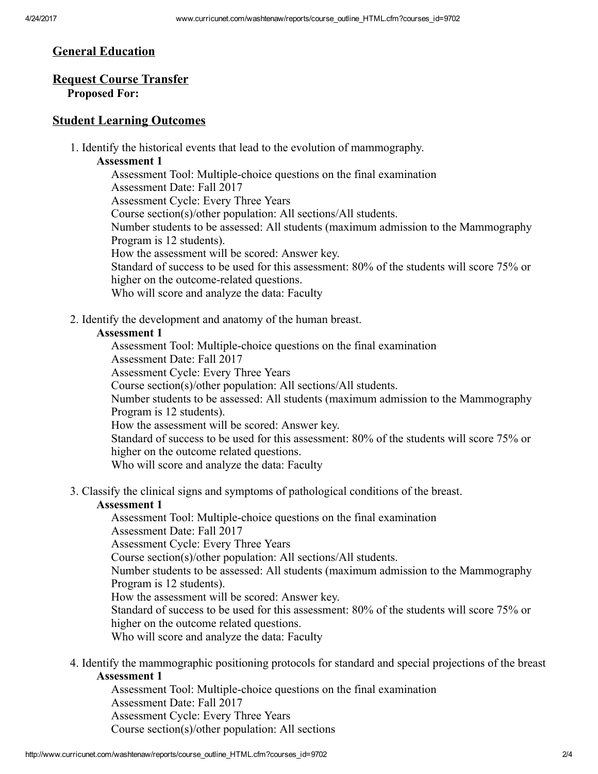## General Education

## Request Course Transfer

# Proposed For:

### Student Learning Outcomes

1. Identify the historical events that lead to the evolution of mammography.

### Assessment 1

Assessment Tool: Multiple-choice questions on the final examination Assessment Date: Fall 2017 Assessment Cycle: Every Three Years Course section(s)/other population: All sections/All students. Number students to be assessed: All students (maximum admission to the Mammography Program is 12 students). How the assessment will be scored: Answer key. Standard of success to be used for this assessment: 80% of the students will score 75% or higher on the outcome-related questions. Who will score and analyze the data: Faculty

2. Identify the development and anatomy of the human breast.

### Assessment 1

Assessment Tool: Multiple-choice questions on the final examination

Assessment Date: Fall 2017

Assessment Cycle: Every Three Years

Course section(s)/other population: All sections/All students.

Number students to be assessed: All students (maximum admission to the Mammography Program is 12 students).

How the assessment will be scored: Answer key.

Standard of success to be used for this assessment: 80% of the students will score 75% or higher on the outcome related questions.

Who will score and analyze the data: Faculty

3. Classify the clinical signs and symptoms of pathological conditions of the breast.

#### Assessment 1

Assessment Tool: Multiple-choice questions on the final examination Assessment Date: Fall 2017

Assessment Cycle: Every Three Years

Course section(s)/other population: All sections/All students.

Number students to be assessed: All students (maximum admission to the Mammography Program is 12 students).

How the assessment will be scored: Answer key.

Standard of success to be used for this assessment: 80% of the students will score 75% or higher on the outcome related questions.

Who will score and analyze the data: Faculty

4. Identify the mammographic positioning protocols for standard and special projections of the breast Assessment 1

Assessment Tool: Multiple-choice questions on the final examination Assessment Date: Fall 2017 Assessment Cycle: Every Three Years Course section(s)/other population: All sections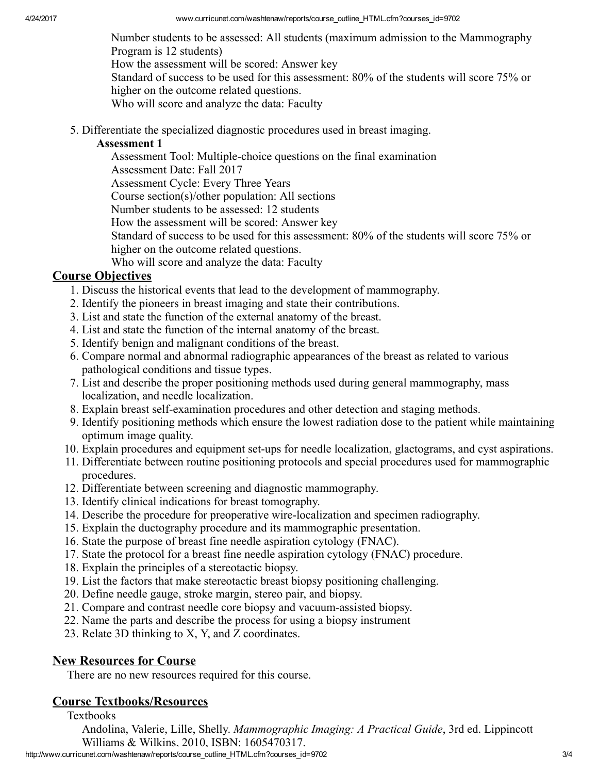Number students to be assessed: All students (maximum admission to the Mammography Program is 12 students)

How the assessment will be scored: Answer key

Standard of success to be used for this assessment: 80% of the students will score 75% or higher on the outcome related questions.

Who will score and analyze the data: Faculty

5. Differentiate the specialized diagnostic procedures used in breast imaging.

### Assessment 1

Assessment Tool: Multiple-choice questions on the final examination Assessment Date: Fall 2017 Assessment Cycle: Every Three Years Course section(s)/other population: All sections Number students to be assessed: 12 students How the assessment will be scored: Answer key Standard of success to be used for this assessment: 80% of the students will score 75% or higher on the outcome related questions. Who will score and analyze the data: Faculty

# Course Objectives

- 1. Discuss the historical events that lead to the development of mammography.
- 2. Identify the pioneers in breast imaging and state their contributions.
- 3. List and state the function of the external anatomy of the breast.
- 4. List and state the function of the internal anatomy of the breast.
- 5. Identify benign and malignant conditions of the breast.
- 6. Compare normal and abnormal radiographic appearances of the breast as related to various pathological conditions and tissue types.
- 7. List and describe the proper positioning methods used during general mammography, mass localization, and needle localization.
- 8. Explain breast self-examination procedures and other detection and staging methods.
- 9. Identify positioning methods which ensure the lowest radiation dose to the patient while maintaining optimum image quality.
- 10. Explain procedures and equipment set-ups for needle localization, glactograms, and cyst aspirations.
- 11. Differentiate between routine positioning protocols and special procedures used for mammographic procedures.
- 12. Differentiate between screening and diagnostic mammography.
- 13. Identify clinical indications for breast tomography.
- 14. Describe the procedure for preoperative wirelocalization and specimen radiography.
- 15. Explain the ductography procedure and its mammographic presentation.
- 16. State the purpose of breast fine needle aspiration cytology (FNAC).
- 17. State the protocol for a breast fine needle aspiration cytology (FNAC) procedure.
- 18. Explain the principles of a stereotactic biopsy.
- 19. List the factors that make stereotactic breast biopsy positioning challenging.
- 20. Define needle gauge, stroke margin, stereo pair, and biopsy.
- 21. Compare and contrast needle core biopsy and vacuum-assisted biopsy.
- 22. Name the parts and describe the process for using a biopsy instrument
- 23. Relate 3D thinking to X, Y, and Z coordinates.

# New Resources for Course

There are no new resources required for this course.

# Course Textbooks/Resources

**Textbooks** 

Andolina, Valerie, Lille, Shelly. *Mammographic Imaging: A Practical Guide*, 3rd ed. Lippincott Williams & Wilkins, 2010, ISBN: 1605470317.